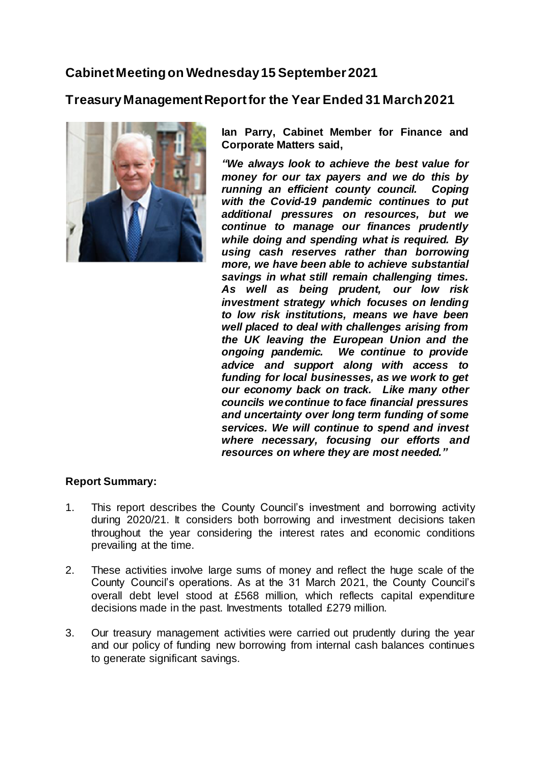## **Cabinet Meeting on Wednesday 15 September 2021**

**Treasury Management Report for the Year Ended 31 March 2021**



**Ian Parry, Cabinet Member for Finance and Corporate Matters said,**

*"We always look to achieve the best value for money for our tax payers and we do this by running an efficient county council. Coping with the Covid-19 pandemic continues to put additional pressures on resources, but we continue to manage our finances prudently while doing and spending what is required. By using cash reserves rather than borrowing more, we have been able to achieve substantial savings in what still remain challenging times. As well as being prudent, our low risk investment strategy which focuses on lending to low risk institutions, means we have been well placed to deal with challenges arising from the UK leaving the European Union and the ongoing pandemic. We continue to provide advice and support along with access to funding for local businesses, as we work to get our economy back on track. Like many other councils we continue to face financial pressures and uncertainty over long term funding of some services. We will continue to spend and invest where necessary, focusing our efforts and resources on where they are most needed."*

## **Report Summary:**

- 1. This report describes the County Council's investment and borrowing activity during 2020/21. It considers both borrowing and investment decisions taken throughout the year considering the interest rates and economic conditions prevailing at the time.
- 2. These activities involve large sums of money and reflect the huge scale of the County Council's operations. As at the 31 March 2021, the County Council's overall debt level stood at £568 million, which reflects capital expenditure decisions made in the past. Investments totalled £279 million.
- 3. Our treasury management activities were carried out prudently during the year and our policy of funding new borrowing from internal cash balances continues to generate significant savings.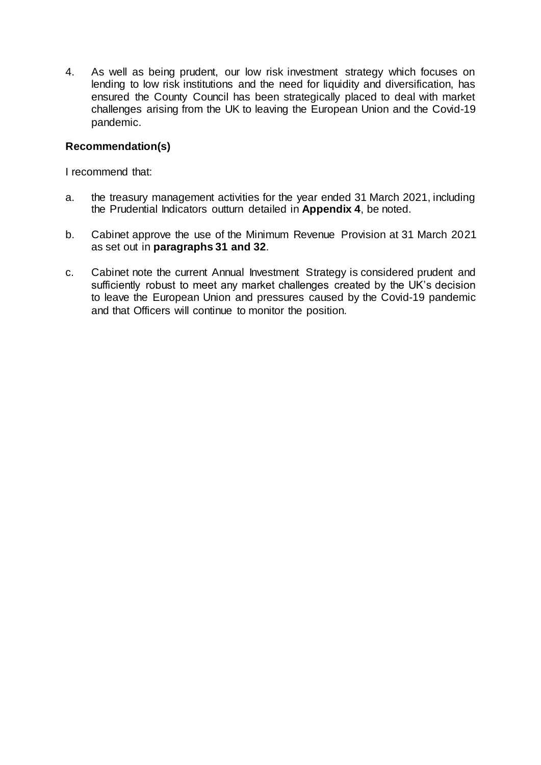4. As well as being prudent, our low risk investment strategy which focuses on lending to low risk institutions and the need for liquidity and diversification, has ensured the County Council has been strategically placed to deal with market challenges arising from the UK to leaving the European Union and the Covid-19 pandemic.

### **Recommendation(s)**

I recommend that:

- a. the treasury management activities for the year ended 31 March 2021, including the Prudential Indicators outturn detailed in **Appendix 4**, be noted.
- b. Cabinet approve the use of the Minimum Revenue Provision at 31 March 2021 as set out in **paragraphs 31 and 32**.
- c. Cabinet note the current Annual Investment Strategy is considered prudent and sufficiently robust to meet any market challenges created by the UK's decision to leave the European Union and pressures caused by the Covid-19 pandemic and that Officers will continue to monitor the position.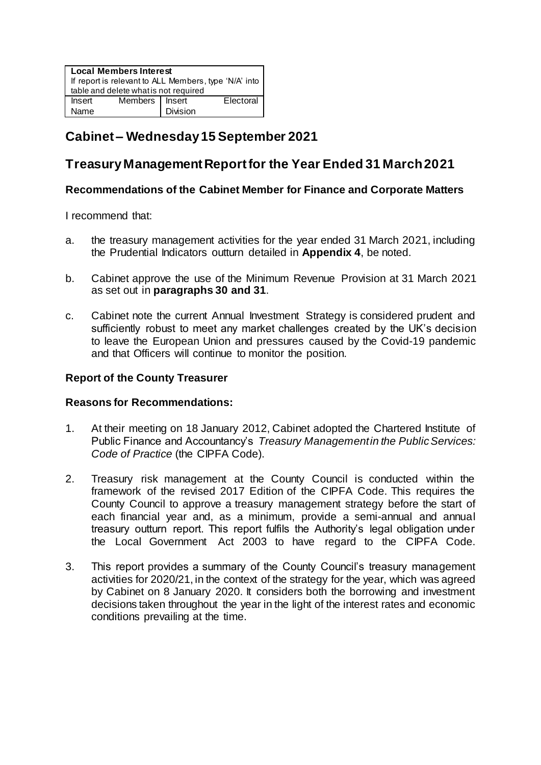| <b>Local Members Interest</b><br>If report is relevant to ALL Members, type 'N/A' into  <br>table and delete what is not required |                  |                 |           |  |
|-----------------------------------------------------------------------------------------------------------------------------------|------------------|-----------------|-----------|--|
| Insert                                                                                                                            | Members   Insert |                 | Electoral |  |
| Name                                                                                                                              |                  | <b>Division</b> |           |  |

# **Cabinet – Wednesday 15 September 2021**

## **Treasury Management Report for the Year Ended 31 March 2021**

### **Recommendations of the Cabinet Member for Finance and Corporate Matters**

I recommend that:

- a. the treasury management activities for the year ended 31 March 2021, including the Prudential Indicators outturn detailed in **Appendix 4**, be noted.
- b. Cabinet approve the use of the Minimum Revenue Provision at 31 March 2021 as set out in **paragraphs 30 and 31**.
- c. Cabinet note the current Annual Investment Strategy is considered prudent and sufficiently robust to meet any market challenges created by the UK's decision to leave the European Union and pressures caused by the Covid-19 pandemic and that Officers will continue to monitor the position.

#### **Report of the County Treasurer**

#### **Reasons for Recommendations:**

- 1. At their meeting on 18 January 2012, Cabinet adopted the Chartered Institute of Public Finance and Accountancy's *Treasury Management in the Public Services: Code of Practice* (the CIPFA Code).
- 2. Treasury risk management at the County Council is conducted within the framework of the revised 2017 Edition of the CIPFA Code. This requires the County Council to approve a treasury management strategy before the start of each financial year and, as a minimum, provide a semi-annual and annual treasury outturn report. This report fulfils the Authority's legal obligation under the Local Government Act 2003 to have regard to the CIPFA Code.
- 3. This report provides a summary of the County Council's treasury management activities for 2020/21, in the context of the strategy for the year, which was agreed by Cabinet on 8 January 2020. It considers both the borrowing and investment decisions taken throughout the year in the light of the interest rates and economic conditions prevailing at the time.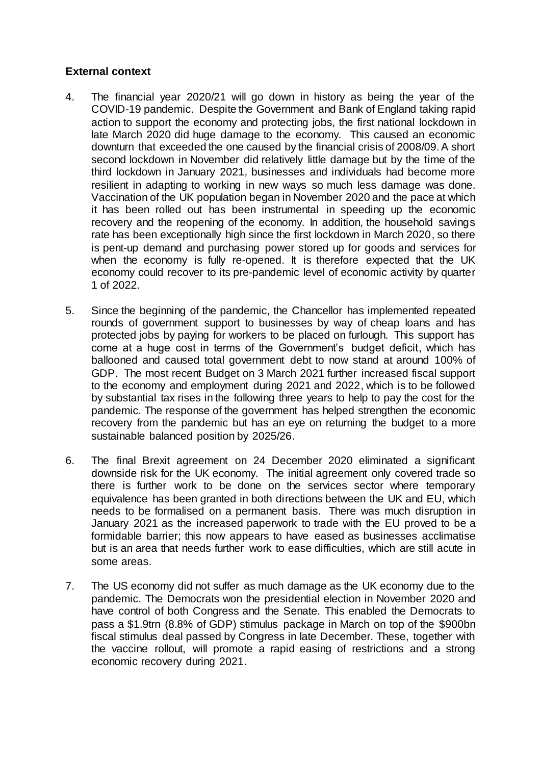### **External context**

- 4. The financial year 2020/21 will go down in history as being the year of the COVID-19 pandemic. Despite the Government and Bank of England taking rapid action to support the economy and protecting jobs, the first national lockdown in late March 2020 did huge damage to the economy. This caused an economic downturn that exceeded the one caused by the financial crisis of 2008/09. A short second lockdown in November did relatively little damage but by the time of the third lockdown in January 2021, businesses and individuals had become more resilient in adapting to working in new ways so much less damage was done. Vaccination of the UK population began in November 2020 and the pace at which it has been rolled out has been instrumental in speeding up the economic recovery and the reopening of the economy. In addition, the household savings rate has been exceptionally high since the first lockdown in March 2020, so there is pent-up demand and purchasing power stored up for goods and services for when the economy is fully re-opened. It is therefore expected that the UK economy could recover to its pre-pandemic level of economic activity by quarter 1 of 2022.
- 5. Since the beginning of the pandemic, the Chancellor has implemented repeated rounds of government support to businesses by way of cheap loans and has protected jobs by paying for workers to be placed on furlough. This support has come at a huge cost in terms of the Government's budget deficit, which has ballooned and caused total government debt to now stand at around 100% of GDP. The most recent Budget on 3 March 2021 further increased fiscal support to the economy and employment during 2021 and 2022, which is to be followed by substantial tax rises in the following three years to help to pay the cost for the pandemic. The response of the government has helped strengthen the economic recovery from the pandemic but has an eye on returning the budget to a more sustainable balanced position by 2025/26.
- 6. The final Brexit agreement on 24 December 2020 eliminated a significant downside risk for the UK economy. The initial agreement only covered trade so there is further work to be done on the services sector where temporary equivalence has been granted in both directions between the UK and EU, which needs to be formalised on a permanent basis. There was much disruption in January 2021 as the increased paperwork to trade with the EU proved to be a formidable barrier; this now appears to have eased as businesses acclimatise but is an area that needs further work to ease difficulties, which are still acute in some areas.
- 7. The US economy did not suffer as much damage as the UK economy due to the pandemic. The Democrats won the presidential election in November 2020 and have control of both Congress and the Senate. This enabled the Democrats to pass a \$1.9trn (8.8% of GDP) stimulus package in March on top of the \$900bn fiscal stimulus deal passed by Congress in late December. These, together with the vaccine rollout, will promote a rapid easing of restrictions and a strong economic recovery during 2021.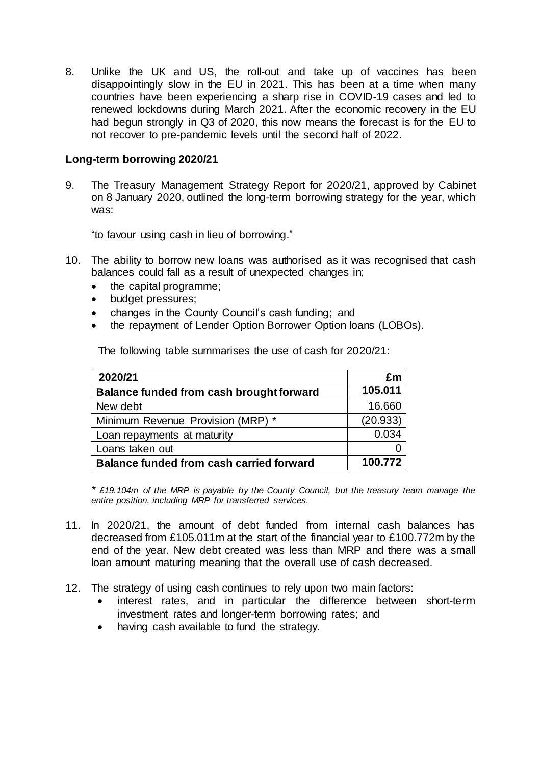8. Unlike the UK and US, the roll-out and take up of vaccines has been disappointingly slow in the EU in 2021. This has been at a time when many countries have been experiencing a sharp rise in COVID-19 cases and led to renewed lockdowns during March 2021. After the economic recovery in the EU had begun strongly in Q3 of 2020, this now means the forecast is for the EU to not recover to pre-pandemic levels until the second half of 2022.

### **Long-term borrowing 2020/21**

9. The Treasury Management Strategy Report for 2020/21, approved by Cabinet on 8 January 2020, outlined the long-term borrowing strategy for the year, which was:

"to favour using cash in lieu of borrowing."

- 10. The ability to borrow new loans was authorised as it was recognised that cash balances could fall as a result of unexpected changes in;
	- the capital programme;
	- budget pressures;
	- changes in the County Council's cash funding; and
	- the repayment of Lender Option Borrower Option loans (LOBOs).

| 2020/21                                  | £m       |
|------------------------------------------|----------|
| Balance funded from cash brought forward | 105.011  |
| New debt                                 | 16.660   |
| Minimum Revenue Provision (MRP) *        | (20.933) |
| Loan repayments at maturity              | 0.034    |
| Loans taken out                          |          |

**Balance funded from cash carried forward 100.772**

The following table summarises the use of cash for 2020/21:

*\* £19.104m of the MRP is payable by the County Council, but the treasury team manage the entire position, including MRP for transferred services.*

- 11. In 2020/21, the amount of debt funded from internal cash balances has decreased from £105.011m at the start of the financial year to £100.772m by the end of the year. New debt created was less than MRP and there was a small loan amount maturing meaning that the overall use of cash decreased.
- 12. The strategy of using cash continues to rely upon two main factors:
	- interest rates, and in particular the difference between short-term investment rates and longer-term borrowing rates; and
	- having cash available to fund the strategy.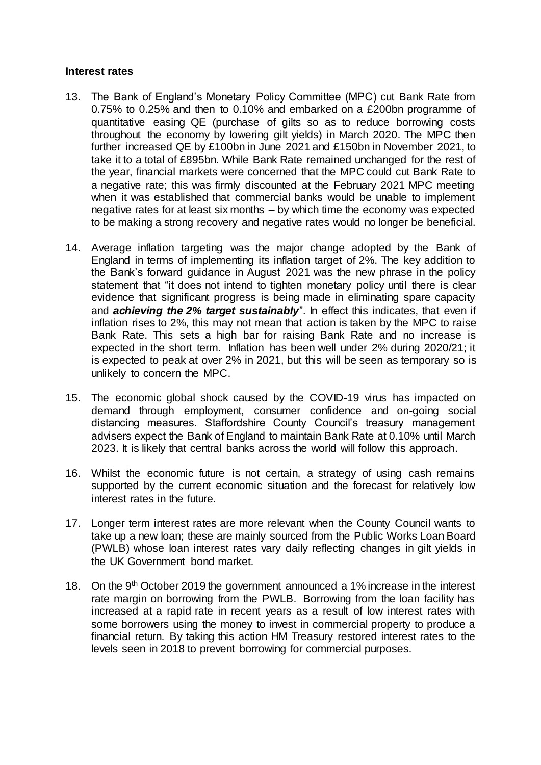#### **Interest rates**

- 13. The Bank of England's Monetary Policy Committee (MPC) cut Bank Rate from 0.75% to 0.25% and then to 0.10% and embarked on a £200bn programme of quantitative easing QE (purchase of gilts so as to reduce borrowing costs throughout the economy by lowering gilt yields) in March 2020. The MPC then further increased QE by £100bn in June 2021 and £150bn in November 2021, to take it to a total of £895bn. While Bank Rate remained unchanged for the rest of the year, financial markets were concerned that the MPC could cut Bank Rate to a negative rate; this was firmly discounted at the February 2021 MPC meeting when it was established that commercial banks would be unable to implement negative rates for at least six months – by which time the economy was expected to be making a strong recovery and negative rates would no longer be beneficial.
- 14. Average inflation targeting was the major change adopted by the Bank of England in terms of implementing its inflation target of 2%. The key addition to the Bank's forward guidance in August 2021 was the new phrase in the policy statement that "it does not intend to tighten monetary policy until there is clear evidence that significant progress is being made in eliminating spare capacity and *achieving the 2% target sustainably*". In effect this indicates, that even if inflation rises to 2%, this may not mean that action is taken by the MPC to raise Bank Rate. This sets a high bar for raising Bank Rate and no increase is expected in the short term. Inflation has been well under 2% during 2020/21; it is expected to peak at over 2% in 2021, but this will be seen as temporary so is unlikely to concern the MPC.
- 15. The economic global shock caused by the COVID-19 virus has impacted on demand through employment, consumer confidence and on-going social distancing measures. Staffordshire County Council's treasury management advisers expect the Bank of England to maintain Bank Rate at 0.10% until March 2023. It is likely that central banks across the world will follow this approach.
- 16. Whilst the economic future is not certain, a strategy of using cash remains supported by the current economic situation and the forecast for relatively low interest rates in the future.
- 17. Longer term interest rates are more relevant when the County Council wants to take up a new loan; these are mainly sourced from the Public Works Loan Board (PWLB) whose loan interest rates vary daily reflecting changes in gilt yields in the UK Government bond market.
- 18. On the 9<sup>th</sup> October 2019 the government announced a 1% increase in the interest rate margin on borrowing from the PWLB. Borrowing from the loan facility has increased at a rapid rate in recent years as a result of low interest rates with some borrowers using the money to invest in commercial property to produce a financial return. By taking this action HM Treasury restored interest rates to the levels seen in 2018 to prevent borrowing for commercial purposes.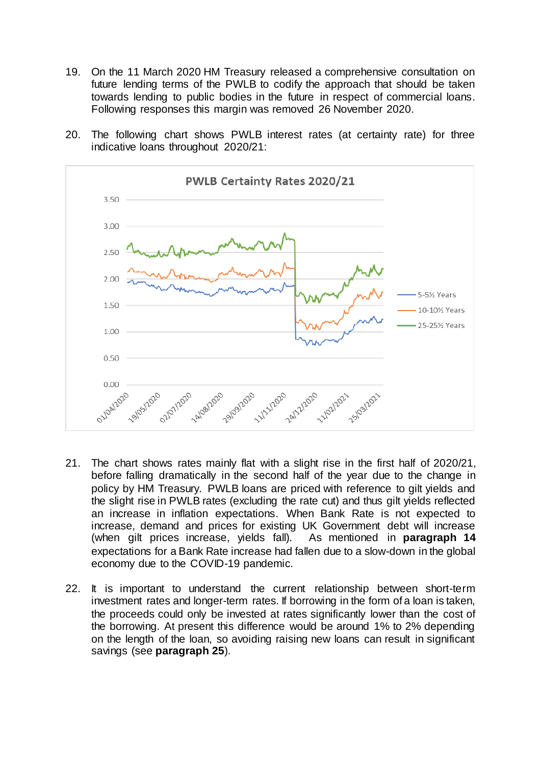- 19. On the 11 March 2020 HM Treasury released a comprehensive consultation on future lending terms of the PWLB to codify the approach that should be taken towards lending to public bodies in the future in respect of commercial loans. Following responses this margin was removed 26 November 2020.
- 20. The following chart shows PWLB interest rates (at certainty rate) for three indicative loans throughout 2020/21:



- 21. The chart shows rates mainly flat with a slight rise in the first half of 2020/21, before falling dramatically in the second half of the year due to the change in policy by HM Treasury. PWLB loans are priced with reference to gilt yields and the slight rise in PWLB rates (excluding the rate cut) and thus gilt yields reflected an increase in inflation expectations. When Bank Rate is not expected to increase, demand and prices for existing UK Government debt will increase (when gilt prices increase, yields fall). As mentioned in **paragraph 14** expectations for a Bank Rate increase had fallen due to a slow-down in the global economy due to the COVID-19 pandemic.
- 22. It is important to understand the current relationship between short-term investment rates and longer-term rates. If borrowing in the form of a loan is taken, the proceeds could only be invested at rates significantly lower than the cost of the borrowing. At present this difference would be around 1% to 2% depending on the length of the loan, so avoiding raising new loans can result in significant savings (see **paragraph 25**).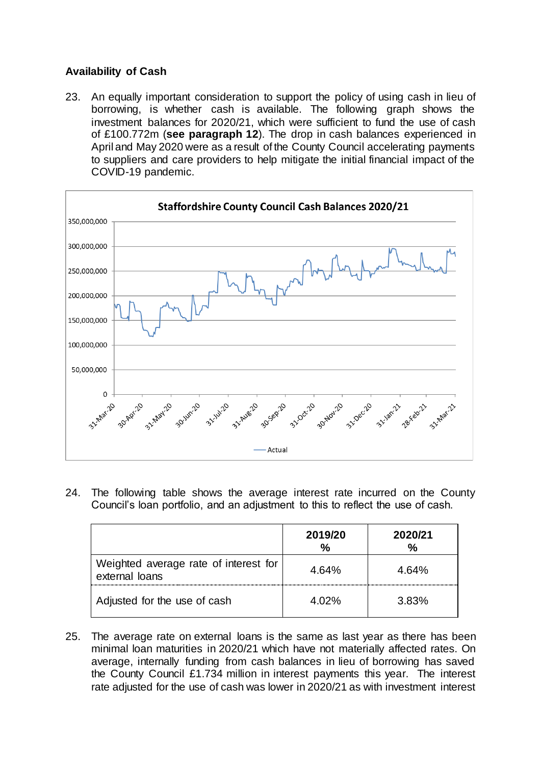## **Availability of Cash**

23. An equally important consideration to support the policy of using cash in lieu of borrowing, is whether cash is available. The following graph shows the investment balances for 2020/21, which were sufficient to fund the use of cash of £100.772m (**see paragraph 12**). The drop in cash balances experienced in April and May 2020 were as a result of the County Council accelerating payments to suppliers and care providers to help mitigate the initial financial impact of the COVID-19 pandemic.



24. The following table shows the average interest rate incurred on the County Council's loan portfolio, and an adjustment to this to reflect the use of cash.

|                                                         | 2019/20<br>% | 2020/21<br>$\%$ |
|---------------------------------------------------------|--------------|-----------------|
| Weighted average rate of interest for<br>external loans | 4.64%        | 4.64%           |
| Adjusted for the use of cash                            | 4.02%        | 3.83%           |

25. The average rate on external loans is the same as last year as there has been minimal loan maturities in 2020/21 which have not materially affected rates. On average, internally funding from cash balances in lieu of borrowing has saved the County Council £1.734 million in interest payments this year. The interest rate adjusted for the use of cash was lower in 2020/21 as with investment interest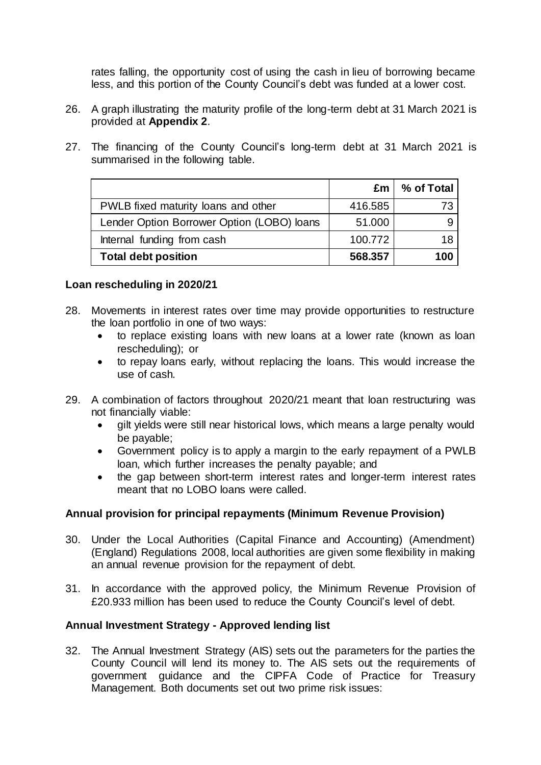rates falling, the opportunity cost of using the cash in lieu of borrowing became less, and this portion of the County Council's debt was funded at a lower cost.

- 26. A graph illustrating the maturity profile of the long-term debt at 31 March 2021 is provided at **Appendix 2**.
- 27. The financing of the County Council's long-term debt at 31 March 2021 is summarised in the following table.

|                                            |         | $\mathsf{Em}$ % of Total |
|--------------------------------------------|---------|--------------------------|
| PWLB fixed maturity loans and other        | 416.585 | 73                       |
| Lender Option Borrower Option (LOBO) loans | 51.000  |                          |
| Internal funding from cash                 | 100.772 | 18                       |
| <b>Total debt position</b>                 | 568,357 | 100                      |

#### **Loan rescheduling in 2020/21**

- 28. Movements in interest rates over time may provide opportunities to restructure the loan portfolio in one of two ways:
	- to replace existing loans with new loans at a lower rate (known as loan rescheduling); or
	- to repay loans early, without replacing the loans. This would increase the use of cash.
- 29. A combination of factors throughout 2020/21 meant that loan restructuring was not financially viable:
	- gilt yields were still near historical lows, which means a large penalty would be payable;
	- Government policy is to apply a margin to the early repayment of a PWLB loan, which further increases the penalty payable; and
	- the gap between short-term interest rates and longer-term interest rates meant that no LOBO loans were called.

## **Annual provision for principal repayments (Minimum Revenue Provision)**

- 30. Under the Local Authorities (Capital Finance and Accounting) (Amendment) (England) Regulations 2008, local authorities are given some flexibility in making an annual revenue provision for the repayment of debt.
- 31. In accordance with the approved policy, the Minimum Revenue Provision of £20.933 million has been used to reduce the County Council's level of debt.

#### **Annual Investment Strategy - Approved lending list**

32. The Annual Investment Strategy (AIS) sets out the parameters for the parties the County Council will lend its money to. The AIS sets out the requirements of government guidance and the CIPFA Code of Practice for Treasury Management. Both documents set out two prime risk issues: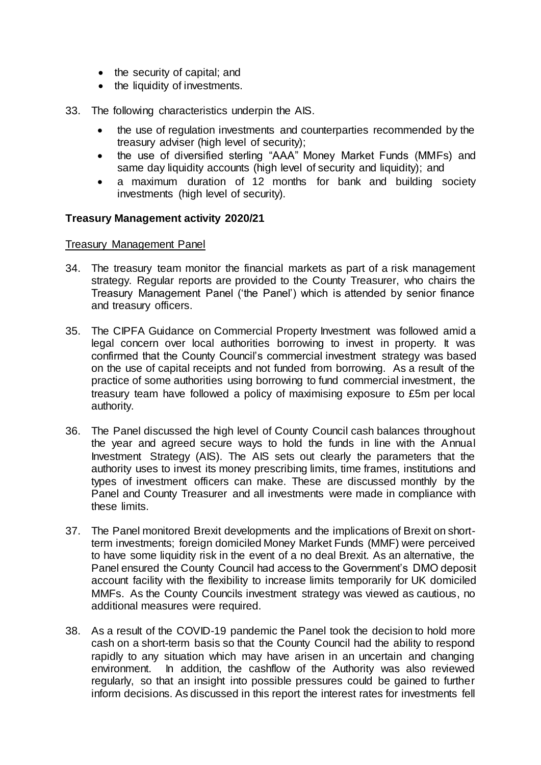- the security of capital; and
- the liquidity of investments.
- 33. The following characteristics underpin the AIS.
	- the use of regulation investments and counterparties recommended by the treasury adviser (high level of security);
	- the use of diversified sterling "AAA" Money Market Funds (MMFs) and same day liquidity accounts (high level of security and liquidity); and
	- a maximum duration of 12 months for bank and building society investments (high level of security).

#### **Treasury Management activity 2020/21**

#### Treasury Management Panel

- 34. The treasury team monitor the financial markets as part of a risk management strategy. Regular reports are provided to the County Treasurer, who chairs the Treasury Management Panel ('the Panel') which is attended by senior finance and treasury officers.
- 35. The CIPFA Guidance on Commercial Property Investment was followed amid a legal concern over local authorities borrowing to invest in property. It was confirmed that the County Council's commercial investment strategy was based on the use of capital receipts and not funded from borrowing. As a result of the practice of some authorities using borrowing to fund commercial investment, the treasury team have followed a policy of maximising exposure to £5m per local authority.
- 36. The Panel discussed the high level of County Council cash balances throughout the year and agreed secure ways to hold the funds in line with the Annual Investment Strategy (AIS). The AIS sets out clearly the parameters that the authority uses to invest its money prescribing limits, time frames, institutions and types of investment officers can make. These are discussed monthly by the Panel and County Treasurer and all investments were made in compliance with these limits.
- 37. The Panel monitored Brexit developments and the implications of Brexit on shortterm investments; foreign domiciled Money Market Funds (MMF) were perceived to have some liquidity risk in the event of a no deal Brexit. As an alternative, the Panel ensured the County Council had access to the Government's DMO deposit account facility with the flexibility to increase limits temporarily for UK domiciled MMFs. As the County Councils investment strategy was viewed as cautious, no additional measures were required.
- 38. As a result of the COVID-19 pandemic the Panel took the decision to hold more cash on a short-term basis so that the County Council had the ability to respond rapidly to any situation which may have arisen in an uncertain and changing environment. In addition, the cashflow of the Authority was also reviewed regularly, so that an insight into possible pressures could be gained to further inform decisions. As discussed in this report the interest rates for investments fell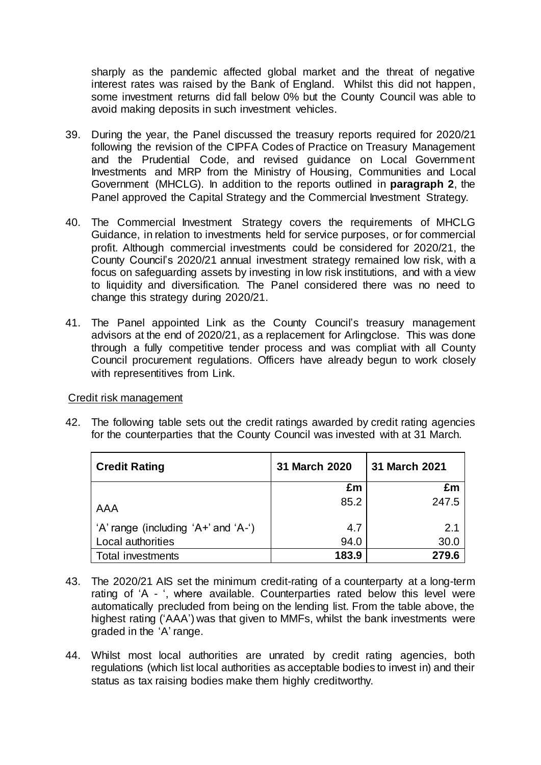sharply as the pandemic affected global market and the threat of negative interest rates was raised by the Bank of England. Whilst this did not happen, some investment returns did fall below 0% but the County Council was able to avoid making deposits in such investment vehicles.

- 39. During the year, the Panel discussed the treasury reports required for 2020/21 following the revision of the CIPFA Codes of Practice on Treasury Management and the Prudential Code, and revised guidance on Local Government Investments and MRP from the Ministry of Housing, Communities and Local Government (MHCLG). In addition to the reports outlined in **paragraph 2**, the Panel approved the Capital Strategy and the Commercial Investment Strategy.
- 40. The Commercial Investment Strategy covers the requirements of MHCLG Guidance, in relation to investments held for service purposes, or for commercial profit. Although commercial investments could be considered for 2020/21, the County Council's 2020/21 annual investment strategy remained low risk, with a focus on safeguarding assets by investing in low risk institutions, and with a view to liquidity and diversification. The Panel considered there was no need to change this strategy during 2020/21.
- 41. The Panel appointed Link as the County Council's treasury management advisors at the end of 2020/21, as a replacement for Arlingclose. This was done through a fully competitive tender process and was compliat with all County Council procurement regulations. Officers have already begun to work closely with representitives from Link.

#### Credit risk management

42. The following table sets out the credit ratings awarded by credit rating agencies for the counterparties that the County Council was invested with at 31 March.

| <b>Credit Rating</b>                | 31 March 2020 | 31 March 2021 |
|-------------------------------------|---------------|---------------|
|                                     | £m            | £m            |
| AAA                                 | 85.2          | 247.5         |
| 'A' range (including 'A+' and 'A-') | 4.7           | 2.1           |
| Local authorities                   | 94.0          | 30.0          |
| <b>Total investments</b>            | 183.9         | 279.6         |

- 43. The 2020/21 AIS set the minimum credit-rating of a counterparty at a long-term rating of 'A - ', where available. Counterparties rated below this level were automatically precluded from being on the lending list. From the table above, the highest rating ('AAA') was that given to MMFs, whilst the bank investments were graded in the 'A' range.
- 44. Whilst most local authorities are unrated by credit rating agencies, both regulations (which list local authorities as acceptable bodies to invest in) and their status as tax raising bodies make them highly creditworthy.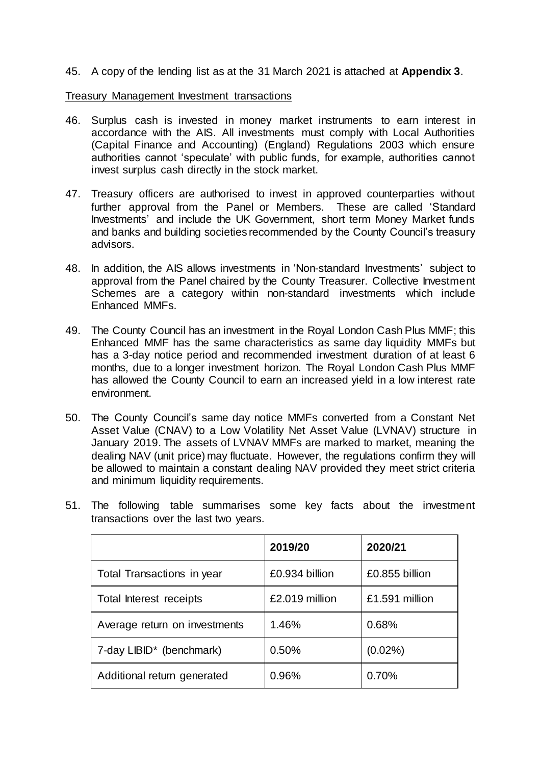45. A copy of the lending list as at the 31 March 2021 is attached at **Appendix 3**.

Treasury Management Investment transactions

- 46. Surplus cash is invested in money market instruments to earn interest in accordance with the AIS. All investments must comply with Local Authorities (Capital Finance and Accounting) (England) Regulations 2003 which ensure authorities cannot 'speculate' with public funds, for example, authorities cannot invest surplus cash directly in the stock market.
- 47. Treasury officers are authorised to invest in approved counterparties without further approval from the Panel or Members. These are called 'Standard Investments' and include the UK Government, short term Money Market funds and banks and building societies recommended by the County Council's treasury advisors.
- 48. In addition, the AIS allows investments in 'Non-standard Investments' subject to approval from the Panel chaired by the County Treasurer. Collective Investment Schemes are a category within non-standard investments which include Enhanced MMFs.
- 49. The County Council has an investment in the Royal London Cash Plus MMF; this Enhanced MMF has the same characteristics as same day liquidity MMFs but has a 3-day notice period and recommended investment duration of at least 6 months, due to a longer investment horizon. The Royal London Cash Plus MMF has allowed the County Council to earn an increased yield in a low interest rate environment.
- 50. The County Council's same day notice MMFs converted from a Constant Net Asset Value (CNAV) to a Low Volatility Net Asset Value (LVNAV) structure in January 2019. The assets of LVNAV MMFs are marked to market, meaning the dealing NAV (unit price) may fluctuate. However, the regulations confirm they will be allowed to maintain a constant dealing NAV provided they meet strict criteria and minimum liquidity requirements.

|                                      | 2019/20        | 2020/21        |
|--------------------------------------|----------------|----------------|
| Total Transactions in year           | £0.934 billion | £0.855 billion |
| Total Interest receipts              | £2.019 million | £1.591 million |
| Average return on investments        | 1.46%          | 0.68%          |
| 7-day LIBID <sup>*</sup> (benchmark) | 0.50%          | $(0.02\%)$     |
| Additional return generated          | 0.96%          | 0.70%          |

51. The following table summarises some key facts about the investment transactions over the last two years.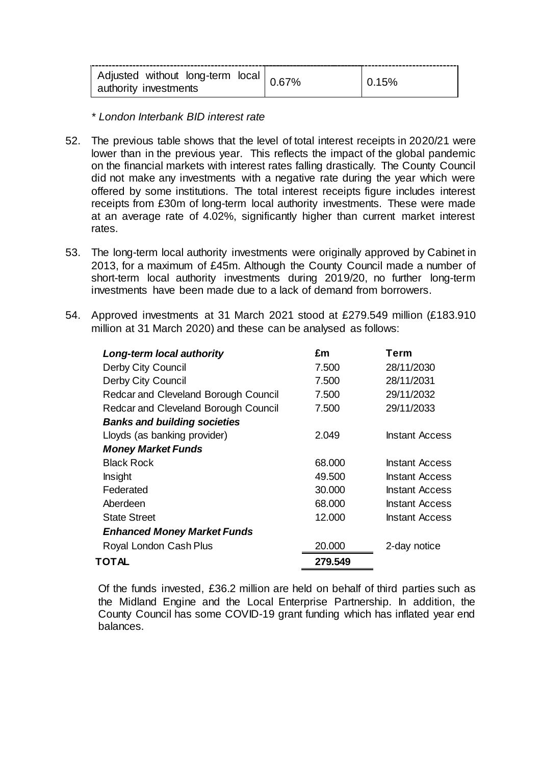| Adjusted without long-term local I<br>authority investments |  |
|-------------------------------------------------------------|--|
|-------------------------------------------------------------|--|

*\* London Interbank BID interest rate*

- 52. The previous table shows that the level of total interest receipts in 2020/21 were lower than in the previous year. This reflects the impact of the global pandemic on the financial markets with interest rates falling drastically. The County Council did not make any investments with a negative rate during the year which were offered by some institutions. The total interest receipts figure includes interest receipts from £30m of long-term local authority investments. These were made at an average rate of 4.02%, significantly higher than current market interest rates.
- 53. The long-term local authority investments were originally approved by Cabinet in 2013, for a maximum of £45m. Although the County Council made a number of short-term local authority investments during 2019/20, no further long-term investments have been made due to a lack of demand from borrowers.
- 54. Approved investments at 31 March 2021 stood at £279.549 million (£183.910 million at 31 March 2020) and these can be analysed as follows:

| Long-term local authority            | £m      | Term                  |
|--------------------------------------|---------|-----------------------|
| Derby City Council                   | 7.500   | 28/11/2030            |
| <b>Derby City Council</b>            | 7.500   | 28/11/2031            |
| Redcar and Cleveland Borough Council | 7.500   | 29/11/2032            |
| Redcar and Cleveland Borough Council | 7.500   | 29/11/2033            |
| <b>Banks and building societies</b>  |         |                       |
| Lloyds (as banking provider)         | 2.049   | Instant Access        |
| <b>Money Market Funds</b>            |         |                       |
| <b>Black Rock</b>                    | 68.000  | <b>Instant Access</b> |
| Insight                              | 49.500  | <b>Instant Access</b> |
| Federated                            | 30,000  | <b>Instant Access</b> |
| Aberdeen                             | 68,000  | <b>Instant Access</b> |
| <b>State Street</b>                  | 12.000  | <b>Instant Access</b> |
| <b>Enhanced Money Market Funds</b>   |         |                       |
| Royal London Cash Plus               | 20.000  | 2-day notice          |
| TOTAL                                | 279.549 |                       |
|                                      |         |                       |

Of the funds invested, £36.2 million are held on behalf of third parties such as the Midland Engine and the Local Enterprise Partnership. In addition, the County Council has some COVID-19 grant funding which has inflated year end balances.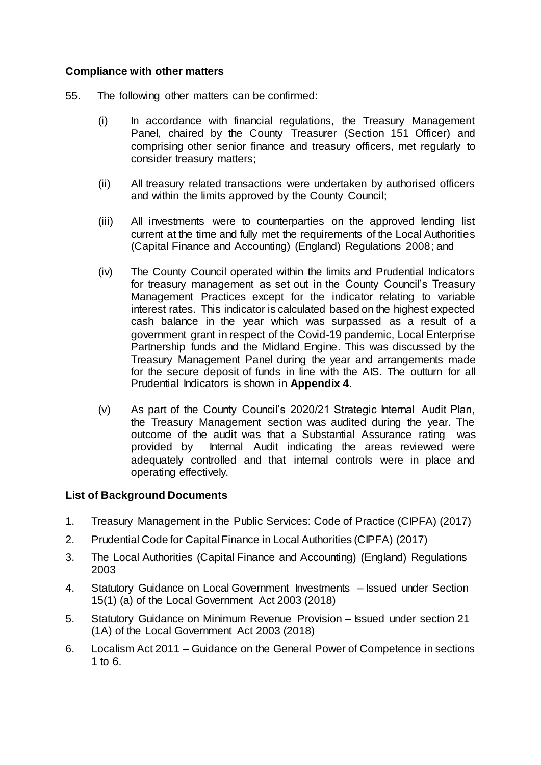#### **Compliance with other matters**

- 55. The following other matters can be confirmed:
	- (i) In accordance with financial regulations, the Treasury Management Panel, chaired by the County Treasurer (Section 151 Officer) and comprising other senior finance and treasury officers, met regularly to consider treasury matters;
	- (ii) All treasury related transactions were undertaken by authorised officers and within the limits approved by the County Council;
	- (iii) All investments were to counterparties on the approved lending list current at the time and fully met the requirements of the Local Authorities (Capital Finance and Accounting) (England) Regulations 2008; and
	- (iv) The County Council operated within the limits and Prudential Indicators for treasury management as set out in the County Council's Treasury Management Practices except for the indicator relating to variable interest rates. This indicator is calculated based on the highest expected cash balance in the year which was surpassed as a result of a government grant in respect of the Covid-19 pandemic, Local Enterprise Partnership funds and the Midland Engine. This was discussed by the Treasury Management Panel during the year and arrangements made for the secure deposit of funds in line with the AIS. The outturn for all Prudential Indicators is shown in **Appendix 4**.
	- (v) As part of the County Council's 2020/21 Strategic Internal Audit Plan, the Treasury Management section was audited during the year. The outcome of the audit was that a Substantial Assurance rating was provided by Internal Audit indicating the areas reviewed were adequately controlled and that internal controls were in place and operating effectively.

## **List of Background Documents**

- 1. Treasury Management in the Public Services: Code of Practice (CIPFA) (2017)
- 2. Prudential Code for Capital Finance in Local Authorities (CIPFA) (2017)
- 3. The Local Authorities (Capital Finance and Accounting) (England) Regulations 2003
- 4. Statutory Guidance on Local Government Investments Issued under Section 15(1) (a) of the Local Government Act 2003 (2018)
- 5. Statutory Guidance on Minimum Revenue Provision Issued under section 21 (1A) of the Local Government Act 2003 (2018)
- 6. Localism Act 2011 Guidance on the General Power of Competence in sections 1 to 6.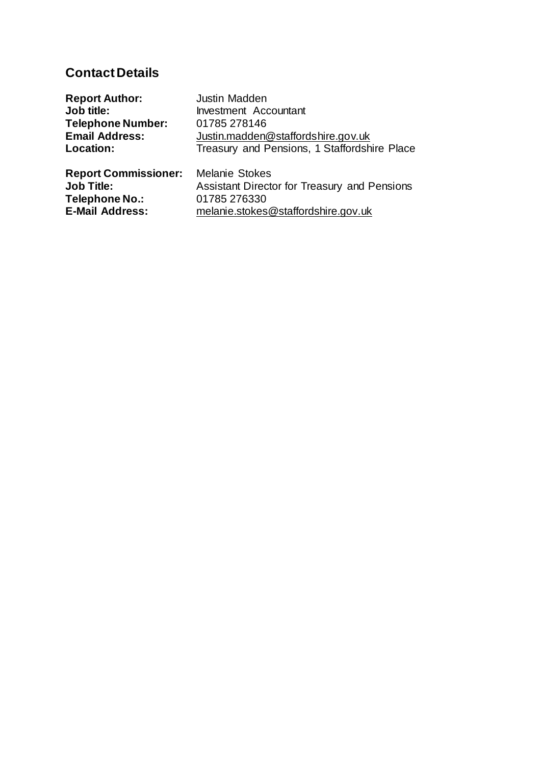## **Contact Details**

| <b>Report Author:</b>       | Justin Madden                                |
|-----------------------------|----------------------------------------------|
| Job title:                  | <b>Investment Accountant</b>                 |
| <b>Telephone Number:</b>    | 01785 278146                                 |
| <b>Email Address:</b>       | Justin.madden@staffordshire.gov.uk           |
| Location:                   | Treasury and Pensions, 1 Staffordshire Place |
| <b>Report Commissioner:</b> | <b>Melanie Stokes</b>                        |
| <b>Job Title:</b>           | Assistant Director for Treasury and Pensions |
| Telephone No.:              | 01785 276330                                 |
| <b>E-Mail Address:</b>      | melanie.stokes@staffordshire.gov.uk          |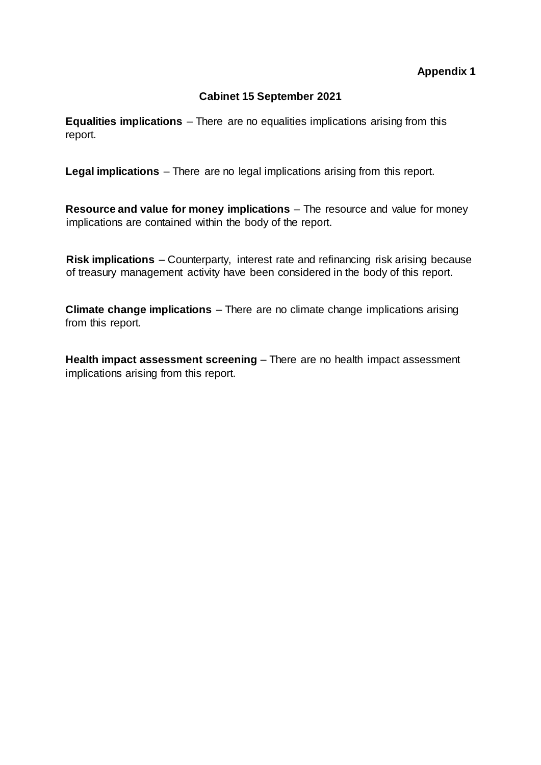### **Appendix 1**

### **Cabinet 15 September 2021**

**Equalities implications** – There are no equalities implications arising from this report.

**Legal implications** – There are no legal implications arising from this report.

**Resource and value for money implications** – The resource and value for money implications are contained within the body of the report.

**Risk implications** – Counterparty, interest rate and refinancing risk arising because of treasury management activity have been considered in the body of this report.

**Climate change implications** – There are no climate change implications arising from this report.

**Health impact assessment screening** – There are no health impact assessment implications arising from this report.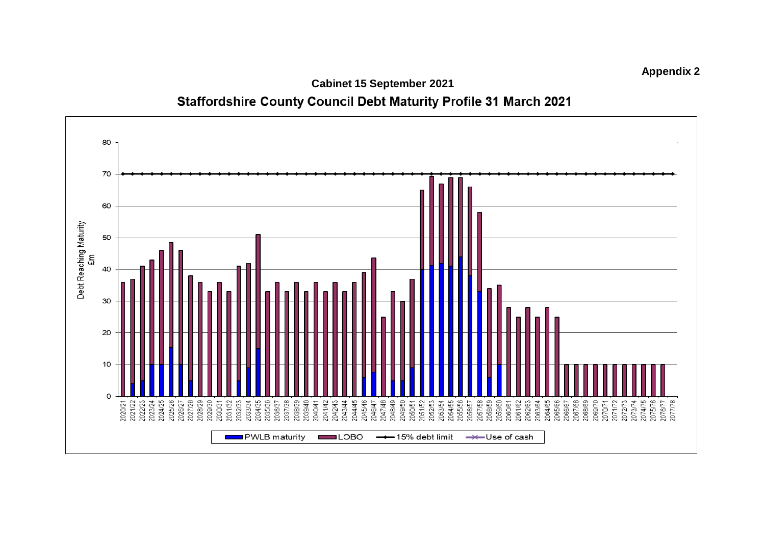

**Cabinet 15 September 20 2 1**Staffordshire County Council Debt Maturity Profile 31 March 2021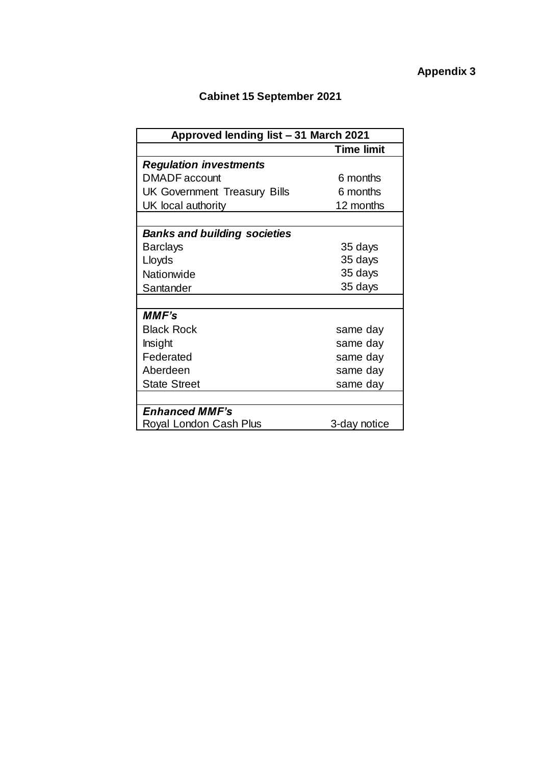# **Cabinet 15 September 2021**

| Approved lending list - 31 March 2021 |                   |  |
|---------------------------------------|-------------------|--|
|                                       | <b>Time limit</b> |  |
| <b>Regulation investments</b>         |                   |  |
| DMADF account                         | 6 months          |  |
| <b>UK Government Treasury Bills</b>   | 6 months          |  |
| UK local authority                    | 12 months         |  |
|                                       |                   |  |
| <b>Banks and building societies</b>   |                   |  |
| <b>Barclays</b>                       | 35 days           |  |
| Lloyds                                | 35 days           |  |
| Nationwide                            | 35 days           |  |
| Santander                             | 35 days           |  |
|                                       |                   |  |
| <b>MMF's</b>                          |                   |  |
| <b>Black Rock</b>                     | same day          |  |
| Insight                               | same day          |  |
| Federated                             | same day          |  |
| Aberdeen                              | same day          |  |
| <b>State Street</b>                   | same day          |  |
|                                       |                   |  |
| <b>Enhanced MMF's</b>                 |                   |  |
| Royal London Cash Plus                | 3-day notice      |  |